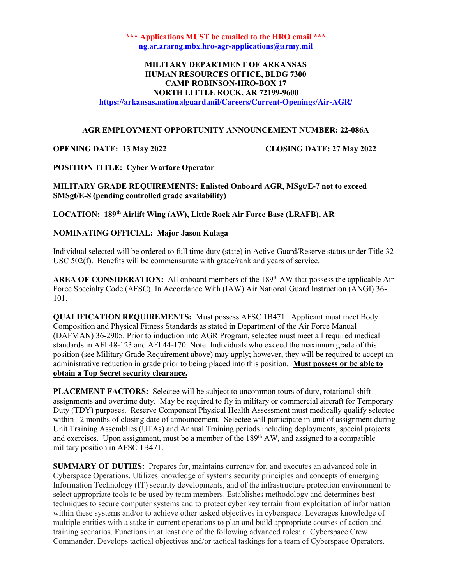\*\*\* Applications MUST be emailed to the HRO email \*\*\* ng.ar.ararng.mbx.hro-agr-applications@army.mil

## MILITARY DEPARTMENT OF ARKANSAS HUMAN RESOURCES OFFICE, BLDG 7300 CAMP ROBINSON-HRO-BOX 17 NORTH LITTLE ROCK, AR 72199-9600

https://arkansas.nationalguard.mil/Careers/Current-Openings/Air-AGR/

### AGR EMPLOYMENT OPPORTUNITY ANNOUNCEMENT NUMBER: 22-086A

### OPENING DATE: 13 May 2022 CLOSING DATE: 27 May 2022

POSITION TITLE: Cyber Warfare Operator

MILITARY GRADE REQUIREMENTS: Enlisted Onboard AGR, MSgt/E-7 not to exceed SMSgt/E-8 (pending controlled grade availability)

LOCATION: 189<sup>th</sup> Airlift Wing (AW), Little Rock Air Force Base (LRAFB), AR

### NOMINATING OFFICIAL: Major Jason Kulaga

Individual selected will be ordered to full time duty (state) in Active Guard/Reserve status under Title 32 USC 502(f). Benefits will be commensurate with grade/rank and years of service.

AREA OF CONSIDERATION: All onboard members of the  $189<sup>th</sup>$  AW that possess the applicable Air Force Specialty Code (AFSC). In Accordance With (IAW) Air National Guard Instruction (ANGI) 36- 101.

QUALIFICATION REQUIREMENTS: Must possess AFSC 1B471. Applicant must meet Body Composition and Physical Fitness Standards as stated in Department of the Air Force Manual (DAFMAN) 36-2905. Prior to induction into AGR Program, selectee must meet all required medical standards in AFI 48-123 and AFI 44-170. Note: Individuals who exceed the maximum grade of this position (see Military Grade Requirement above) may apply; however, they will be required to accept an administrative reduction in grade prior to being placed into this position. Must possess or be able to obtain a Top Secret security clearance.

PLACEMENT FACTORS: Selectee will be subject to uncommon tours of duty, rotational shift assignments and overtime duty. May be required to fly in military or commercial aircraft for Temporary Duty (TDY) purposes. Reserve Component Physical Health Assessment must medically qualify selectee within 12 months of closing date of announcement. Selectee will participate in unit of assignment during Unit Training Assemblies (UTAs) and Annual Training periods including deployments, special projects and exercises. Upon assignment, must be a member of the 189th AW, and assigned to a compatible military position in AFSC 1B471.

SUMMARY OF DUTIES: Prepares for, maintains currency for, and executes an advanced role in Cyberspace Operations. Utilizes knowledge of systems security principles and concepts of emerging Information Technology (IT) security developments, and of the infrastructure protection environment to select appropriate tools to be used by team members. Establishes methodology and determines best techniques to secure computer systems and to protect cyber key terrain from exploitation of information within these systems and/or to achieve other tasked objectives in cyberspace. Leverages knowledge of multiple entities with a stake in current operations to plan and build appropriate courses of action and training scenarios. Functions in at least one of the following advanced roles: a. Cyberspace Crew Commander. Develops tactical objectives and/or tactical taskings for a team of Cyberspace Operators.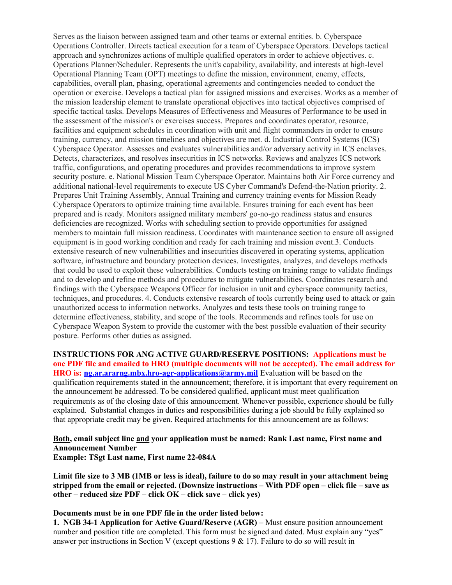Serves as the liaison between assigned team and other teams or external entities. b. Cyberspace Operations Controller. Directs tactical execution for a team of Cyberspace Operators. Develops tactical approach and synchronizes actions of multiple qualified operators in order to achieve objectives. c. Operations Planner/Scheduler. Represents the unit's capability, availability, and interests at high-level Operational Planning Team (OPT) meetings to define the mission, environment, enemy, effects, capabilities, overall plan, phasing, operational agreements and contingencies needed to conduct the operation or exercise. Develops a tactical plan for assigned missions and exercises. Works as a member of the mission leadership element to translate operational objectives into tactical objectives comprised of specific tactical tasks. Develops Measures of Effectiveness and Measures of Performance to be used in the assessment of the mission's or exercises success. Prepares and coordinates operator, resource, facilities and equipment schedules in coordination with unit and flight commanders in order to ensure training, currency, and mission timelines and objectives are met. d. Industrial Control Systems (ICS) Cyberspace Operator. Assesses and evaluates vulnerabilities and/or adversary activity in ICS enclaves. Detects, characterizes, and resolves insecurities in ICS networks. Reviews and analyzes ICS network traffic, configurations, and operating procedures and provides recommendations to improve system security posture. e. National Mission Team Cyberspace Operator. Maintains both Air Force currency and additional national-level requirements to execute US Cyber Command's Defend-the-Nation priority. 2. Prepares Unit Training Assembly, Annual Training and currency training events for Mission Ready Cyberspace Operators to optimize training time available. Ensures training for each event has been prepared and is ready. Monitors assigned military members' go-no-go readiness status and ensures deficiencies are recognized. Works with scheduling section to provide opportunities for assigned members to maintain full mission readiness. Coordinates with maintenance section to ensure all assigned equipment is in good working condition and ready for each training and mission event.3. Conducts extensive research of new vulnerabilities and insecurities discovered in operating systems, application software, infrastructure and boundary protection devices. Investigates, analyzes, and develops methods that could be used to exploit these vulnerabilities. Conducts testing on training range to validate findings and to develop and refine methods and procedures to mitigate vulnerabilities. Coordinates research and findings with the Cyberspace Weapons Officer for inclusion in unit and cyberspace community tactics, techniques, and procedures. 4. Conducts extensive research of tools currently being used to attack or gain unauthorized access to information networks. Analyzes and tests these tools on training range to determine effectiveness, stability, and scope of the tools. Recommends and refines tools for use on Cyberspace Weapon System to provide the customer with the best possible evaluation of their security posture. Performs other duties as assigned.

INSTRUCTIONS FOR ANG ACTIVE GUARD/RESERVE POSITIONS: Applications must be one PDF file and emailed to HRO (multiple documents will not be accepted). The email address for HRO is: ng.ar.ararng.mbx.hro-agr-applications@army.mil Evaluation will be based on the qualification requirements stated in the announcement; therefore, it is important that every requirement on the announcement be addressed. To be considered qualified, applicant must meet qualification requirements as of the closing date of this announcement. Whenever possible, experience should be fully explained. Substantial changes in duties and responsibilities during a job should be fully explained so that appropriate credit may be given. Required attachments for this announcement are as follows:

# Both, email subject line and your application must be named: Rank Last name, First name and Announcement Number

Example: TSgt Last name, First name 22-084A

Limit file size to 3 MB (1MB or less is ideal), failure to do so may result in your attachment being stripped from the email or rejected. (Downsize instructions – With PDF open – click file – save as other – reduced size PDF – click OK – click save – click yes)

### Documents must be in one PDF file in the order listed below:

1. NGB 34-1 Application for Active Guard/Reserve (AGR) – Must ensure position announcement number and position title are completed. This form must be signed and dated. Must explain any "yes" answer per instructions in Section V (except questions  $9 \& 17$ ). Failure to do so will result in